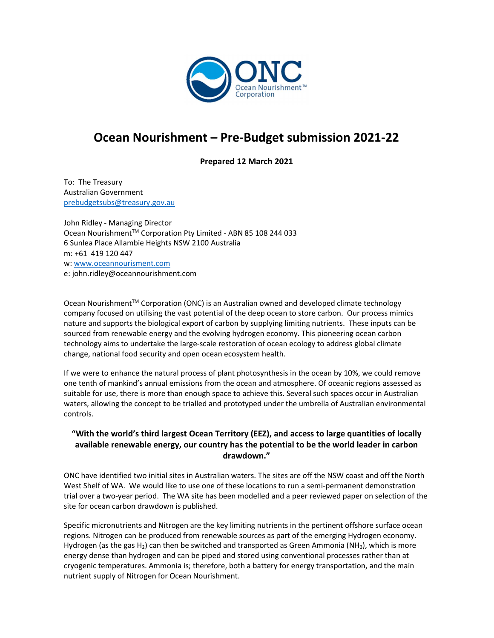

## Ocean Nourishment – Pre-Budget submission 2021-22

Prepared 12 March 2021

To: The Treasury Australian Government prebudgetsubs@treasury.gov.au

John Ridley - Managing Director Ocean Nourishment™ Corporation Pty Limited - ABN 85 108 244 033 6 Sunlea Place Allambie Heights NSW 2100 Australia m: +61 419 120 447 w: www.oceannourisment.com e: john.ridley@oceannourishment.com

Ocean Nourishment™ Corporation (ONC) is an Australian owned and developed climate technology company focused on utilising the vast potential of the deep ocean to store carbon. Our process mimics nature and supports the biological export of carbon by supplying limiting nutrients. These inputs can be sourced from renewable energy and the evolving hydrogen economy. This pioneering ocean carbon technology aims to undertake the large-scale restoration of ocean ecology to address global climate change, national food security and open ocean ecosystem health.

If we were to enhance the natural process of plant photosynthesis in the ocean by 10%, we could remove one tenth of mankind's annual emissions from the ocean and atmosphere. Of oceanic regions assessed as suitable for use, there is more than enough space to achieve this. Several such spaces occur in Australian waters, allowing the concept to be trialled and prototyped under the umbrella of Australian environmental controls.

## "With the world's third largest Ocean Territory (EEZ), and access to large quantities of locally available renewable energy, our country has the potential to be the world leader in carbon drawdown."

ONC have identified two initial sites in Australian waters. The sites are off the NSW coast and off the North West Shelf of WA. We would like to use one of these locations to run a semi-permanent demonstration trial over a two-year period. The WA site has been modelled and a peer reviewed paper on selection of the site for ocean carbon drawdown is published.

Specific micronutrients and Nitrogen are the key limiting nutrients in the pertinent offshore surface ocean regions. Nitrogen can be produced from renewable sources as part of the emerging Hydrogen economy. Hydrogen (as the gas  $H_2$ ) can then be switched and transported as Green Ammonia (NH<sub>3</sub>), which is more energy dense than hydrogen and can be piped and stored using conventional processes rather than at cryogenic temperatures. Ammonia is; therefore, both a battery for energy transportation, and the main nutrient supply of Nitrogen for Ocean Nourishment.